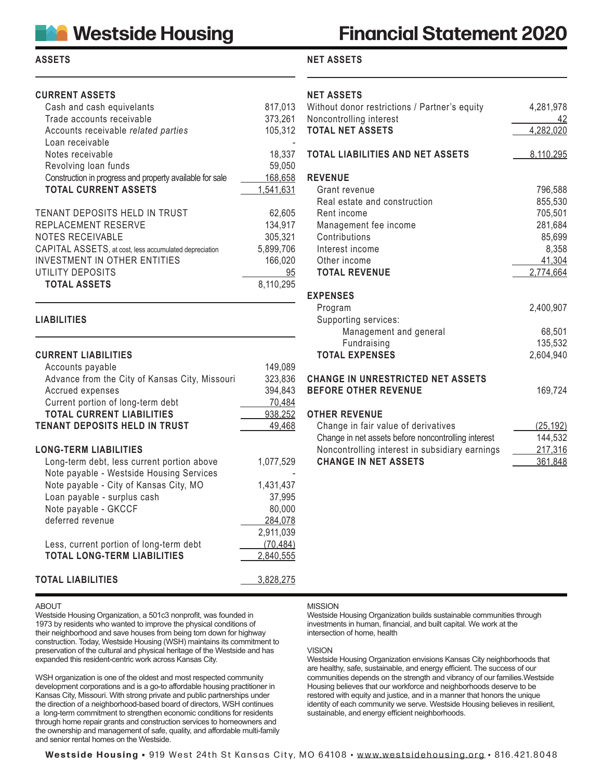## **ASSETS**

# **CURRENT ASSETS**

| Cash and cash equivelants                                | 817,013   |
|----------------------------------------------------------|-----------|
| Trade accounts receivable                                | 373,261   |
| Accounts receivable related parties                      | 105,312   |
| Loan receivable                                          |           |
| Notes receivable                                         | 18,337    |
| Revolving loan funds                                     | 59,050    |
| Construction in progress and property available for sale | 168,658   |
| <b>TOTAL CURRENT ASSETS</b>                              | 1,541,631 |
|                                                          |           |
| TENANT DEPOSITS HELD IN TRUST                            | 62,605    |
| REPLACEMENT RESERVE                                      | 134,917   |
| NOTES RECEIVABLE                                         | 305,321   |
| CAPITAL ASSETS, at cost, less accumulated depreciation   | 5,899,706 |
| INVESTMENT IN OTHER ENTITIES                             | 166,020   |
| UTILITY DEPOSITS                                         | 95        |
| <b>TOTAL ASSETS</b>                                      | 8,110,295 |

### **LIABILITIES**

| <b>CURRENT LIABILITIES</b>                     |         |
|------------------------------------------------|---------|
| Accounts payable                               | 149,089 |
| Advance from the City of Kansas City, Missouri | 323,836 |
| Accrued expenses                               | 394.843 |
| Current portion of long-term debt              | 70.484  |
| <b>TOTAL CURRENT LIABILITIES</b>               | 938,252 |
| TENANT DEPOSITS HELD IN TRUST                  | 49.468  |
|                                                |         |

#### **LONG-TERM LIABILITIES**

| Long-term debt, less current portion above | 1,077,529 |
|--------------------------------------------|-----------|
| Note payable - Westside Housing Services   |           |
| Note payable - City of Kansas City, MO     | 1,431,437 |
| Loan payable - surplus cash                | 37,995    |
| Note payable - GKCCF                       | 80,000    |
| deferred revenue                           | 284,078   |
|                                            | 2,911,039 |
| Less, current portion of long-term debt    | (70, 484) |
| <b>TOTAL LONG-TERM LIABILITIES</b>         | 2,840,555 |
|                                            |           |
| <b>OTAL LIABILITIES</b>                    | 3.828.275 |

### **TOTAL LIABILITIES**

#### ABOUT

Westside Housing Organization, a 501c3 nonprofit, was founded in 1973 by residents who wanted to improve the physical conditions of their neighborhood and save houses from being torn down for highway construction. Today, Westside Housing (WSH) maintains its commitment to preservation of the cultural and physical heritage of the Westside and has expanded this resident-centric work across Kansas City.

WSH organization is one of the oldest and most respected community development corporations and is a go-to affordable housing practitioner in Kansas City, Missouri. With strong private and public partnerships under the direction of a neighborhood-based board of directors, WSH continues a long-term commitment to strengthen economic conditions for residents through home repair grants and construction services to homeowners and the ownership and management of safe, quality, and affordable multi-family and senior rental homes on the Westside.

# **Financial Statement 2020**

# **NET ASSETS**

# **NET ASSETS**

| Without donor restrictions / Partner's equity<br>Noncontrolling interest<br><b>TOTAL NET ASSETS</b>                                                                                                 | 4,281,978<br>42<br>4,282,020                       |
|-----------------------------------------------------------------------------------------------------------------------------------------------------------------------------------------------------|----------------------------------------------------|
| <b>TOTAL LIABILITIES AND NET ASSETS</b>                                                                                                                                                             | 8,110,295                                          |
| <b>REVENUE</b><br>Grant revenue<br>Real estate and construction<br>Rent income<br>Management fee income<br>Contributions                                                                            | 796,588<br>855,530<br>705,501<br>281,684<br>85,699 |
| Interest income<br>Other income<br><b>TOTAL REVENUE</b>                                                                                                                                             | 8,358<br>41,304<br>2,774,664                       |
| <b>EXPENSES</b><br>Program<br>Supporting services:<br>Management and general                                                                                                                        | 2,400,907<br>68,501                                |
| Fundraising<br><b>TOTAL EXPENSES</b>                                                                                                                                                                | 135,532<br>2,604,940                               |
| <b>CHANGE IN UNRESTRICTED NET ASSETS</b><br><b>BEFORE OTHER REVENUE</b>                                                                                                                             | 169,724                                            |
| <b>OTHER REVENUE</b><br>Change in fair value of derivatives<br>Change in net assets before noncontrolling interest<br>Noncontrolling interest in subsidiary earnings<br><b>CHANGE IN NET ASSETS</b> | <u>(25,192)</u><br>144,532<br>217,316<br>361,848   |

### MISSION

Westside Housing Organization builds sustainable communities through investments in human, financial, and built capital. We work at the intersection of home, health

#### VISION

Westside Housing Organization envisions Kansas City neighborhoods that are healthy, safe, sustainable, and energy efficient. The success of our communities depends on the strength and vibrancy of our families.Westside Housing believes that our workforce and neighborhoods deserve to be restored with equity and justice, and in a manner that honors the unique identity of each community we serve. Westside Housing believes in resilient, sustainable, and energy efficient neighborhoods.

**Westside Housing •** 919 West 24th St Kansas City, MO 64108 • www.westsidehousing.org • 816.421.8048